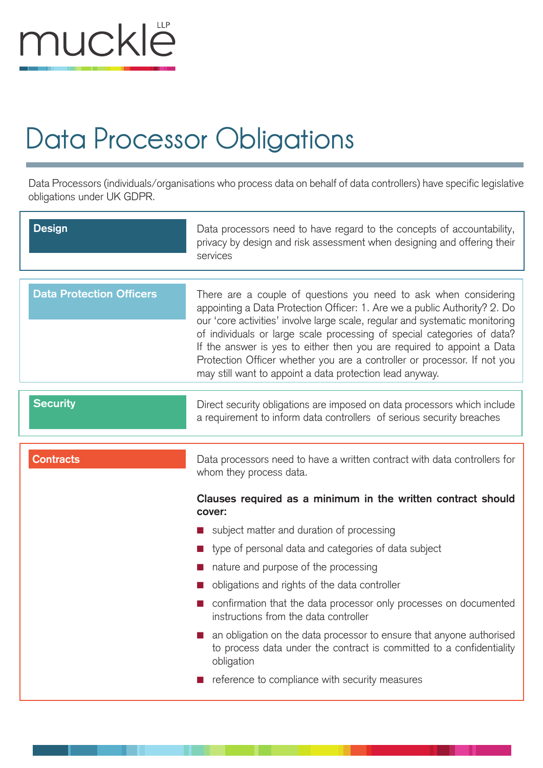

## **Data Processor Obligations**

Data Processors (individuals/organisations who process data on behalf of data controllers) have specific legislative obligations under UK GDPR.

| <b>Design</b>                   | Data processors need to have regard to the concepts of accountability,<br>privacy by design and risk assessment when designing and offering their<br>services                                                                                                                                                                                                                                                                                                                                                                                                                                      |
|---------------------------------|----------------------------------------------------------------------------------------------------------------------------------------------------------------------------------------------------------------------------------------------------------------------------------------------------------------------------------------------------------------------------------------------------------------------------------------------------------------------------------------------------------------------------------------------------------------------------------------------------|
| <b>Data Protection Officers</b> | There are a couple of questions you need to ask when considering<br>appointing a Data Protection Officer: 1. Are we a public Authority? 2. Do<br>our 'core activities' involve large scale, regular and systematic monitoring<br>of individuals or large scale processing of special categories of data?<br>If the answer is yes to either then you are required to appoint a Data<br>Protection Officer whether you are a controller or processor. If not you<br>may still want to appoint a data protection lead anyway.                                                                         |
| <b>Security</b>                 | Direct security obligations are imposed on data processors which include<br>a requirement to inform data controllers of serious security breaches                                                                                                                                                                                                                                                                                                                                                                                                                                                  |
| <b>Contracts</b>                | Data processors need to have a written contract with data controllers for<br>whom they process data.                                                                                                                                                                                                                                                                                                                                                                                                                                                                                               |
|                                 | Clauses required as a minimum in the written contract should<br>cover:<br>subject matter and duration of processing<br>type of personal data and categories of data subject<br>nature and purpose of the processing<br>obligations and rights of the data controller<br>confirmation that the data processor only processes on documented<br>instructions from the data controller<br>an obligation on the data processor to ensure that anyone authorised<br>to process data under the contract is committed to a confidentiality<br>obligation<br>reference to compliance with security measures |